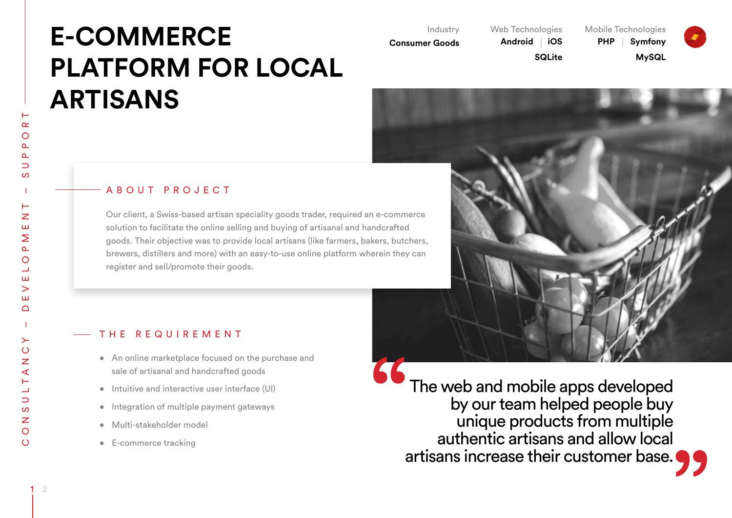# **E-COMMERCE PLATFORM FOR LOCAL ARTISANS**

Industry

**Consumer Goods** 

Web Technologies

Mobile Technologies



**Android iOS SQLite** 

**PHP Symfony MySQL**





#### A B O U T P R O J E C T

Our client, a Swiss-based artisan speciality goods trader, required an e-commerce solution to facilitate the online selling and buying of artisanal and handcrafted goods. Their objective was to provide local artisans (like farmers, bakers, butchers, brewers, distillers and more) with an easy-to-use online platform wherein they can register and sell/promote their goods.

#### THE REQUIREMENT

- An online marketplace focused on the purchase and sale of artisanal and handcrafted goods
- • Intuitive and interactive user interface (UI)
- Integration of multiple payment gateways
- • Multi-stakeholder model
- • E-commerce tracking

The web and mobile apps developed by our team helped people buy unique products from multiple authentic artisans and allow local artisans increase their customer base.